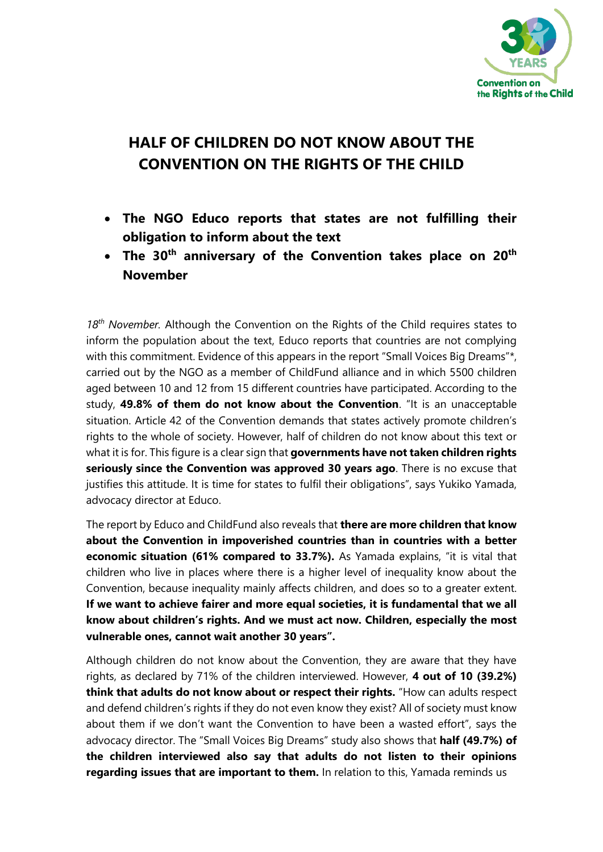

## **HALF OF CHILDREN DO NOT KNOW ABOUT THE CONVENTION ON THE RIGHTS OF THE CHILD**

- **The NGO Educo reports that states are not fulfilling their obligation to inform about the text**
- **The 30th anniversary of the Convention takes place on 20th November**

*18th November.* Although the Convention on the Rights of the Child requires states to inform the population about the text, Educo reports that countries are not complying with this commitment. Evidence of this appears in the report "Small Voices Big Dreams"\*, carried out by the NGO as a member of ChildFund alliance and in which 5500 children aged between 10 and 12 from 15 different countries have participated. According to the study, **49.8% of them do not know about the Convention**. "It is an unacceptable situation. Article 42 of the Convention demands that states actively promote children's rights to the whole of society. However, half of children do not know about this text or what it is for. This figure is a clear sign that **governments have not taken children rights seriously since the Convention was approved 30 years ago**. There is no excuse that justifies this attitude. It is time for states to fulfil their obligations", says Yukiko Yamada, advocacy director at Educo.

The report by Educo and ChildFund also reveals that **there are more children that know about the Convention in impoverished countries than in countries with a better economic situation (61% compared to 33.7%).** As Yamada explains, "it is vital that children who live in places where there is a higher level of inequality know about the Convention, because inequality mainly affects children, and does so to a greater extent. **If we want to achieve fairer and more equal societies, it is fundamental that we all know about children's rights. And we must act now. Children, especially the most vulnerable ones, cannot wait another 30 years".**

Although children do not know about the Convention, they are aware that they have rights, as declared by 71% of the children interviewed. However, **4 out of 10 (39.2%) think that adults do not know about or respect their rights.** "How can adults respect and defend children's rights if they do not even know they exist? All of society must know about them if we don't want the Convention to have been a wasted effort", says the advocacy director. The "Small Voices Big Dreams" study also shows that **half (49.7%) of the children interviewed also say that adults do not listen to their opinions regarding issues that are important to them.** In relation to this, Yamada reminds us